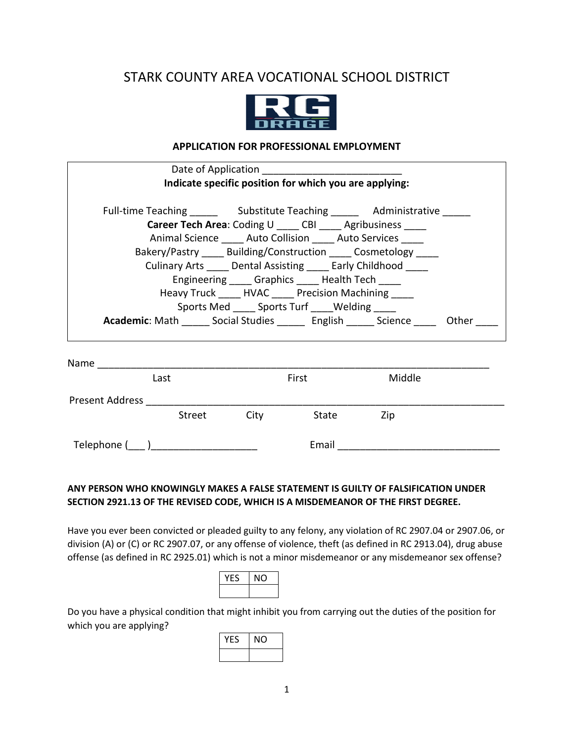# STARK COUNTY AREA VOCATIONAL SCHOOL DISTRICT



### **APPLICATION FOR PROFESSIONAL EMPLOYMENT**

| Date of Application                                                                       |                                                                                                                                                                                                                                                                                                              |        |  |
|-------------------------------------------------------------------------------------------|--------------------------------------------------------------------------------------------------------------------------------------------------------------------------------------------------------------------------------------------------------------------------------------------------------------|--------|--|
|                                                                                           | Indicate specific position for which you are applying:                                                                                                                                                                                                                                                       |        |  |
| Full-time Teaching _____________ Substitute Teaching ____________ Administrative ______   | Career Tech Area: Coding U ___ CBI ____ Agribusiness ____<br>Animal Science Auto Collision Auto Services<br>Bakery/Pastry Building/Construction Cosmetology<br>Culinary Arts Dental Assisting Early Childhood<br>Engineering Graphics Health Tech<br>Heavy Truck ______ HVAC _____ Precision Machining _____ |        |  |
|                                                                                           | Sports Med ______ Sports Turf _____ Welding _____                                                                                                                                                                                                                                                            |        |  |
| Academic: Math _____ Social Studies ________ English _______ Science _______ Other ____   |                                                                                                                                                                                                                                                                                                              |        |  |
| Name $\frac{1}{\sqrt{1-\frac{1}{2}}}\left\vert \frac{1}{\sqrt{1-\frac{1}{2}}}\right\vert$ |                                                                                                                                                                                                                                                                                                              |        |  |
| Last                                                                                      | First                                                                                                                                                                                                                                                                                                        | Middle |  |
| <b>Present Address</b>                                                                    |                                                                                                                                                                                                                                                                                                              |        |  |

Telephone (\_\_\_ )\_\_\_\_\_\_\_\_\_\_\_\_\_\_\_\_\_\_\_ Email \_\_\_\_\_\_\_\_\_\_\_\_\_\_\_\_\_\_\_\_\_\_\_\_\_\_\_\_\_

Street City State Zip

## **ANY PERSON WHO KNOWINGLY MAKES A FALSE STATEMENT IS GUILTY OF FALSIFICATION UNDER SECTION 2921.13 OF THE REVISED CODE, WHICH IS A MISDEMEANOR OF THE FIRST DEGREE.**

Have you ever been convicted or pleaded guilty to any felony, any violation of RC 2907.04 or 2907.06, or division (A) or (C) or RC 2907.07, or any offense of violence, theft (as defined in RC 2913.04), drug abuse offense (as defined in RC 2925.01) which is not a minor misdemeanor or any misdemeanor sex offense?

| -8 | ( ) |
|----|-----|
|    |     |

Do you have a physical condition that might inhibit you from carrying out the duties of the position for which you are applying?

| YES | ΝO |
|-----|----|
|     |    |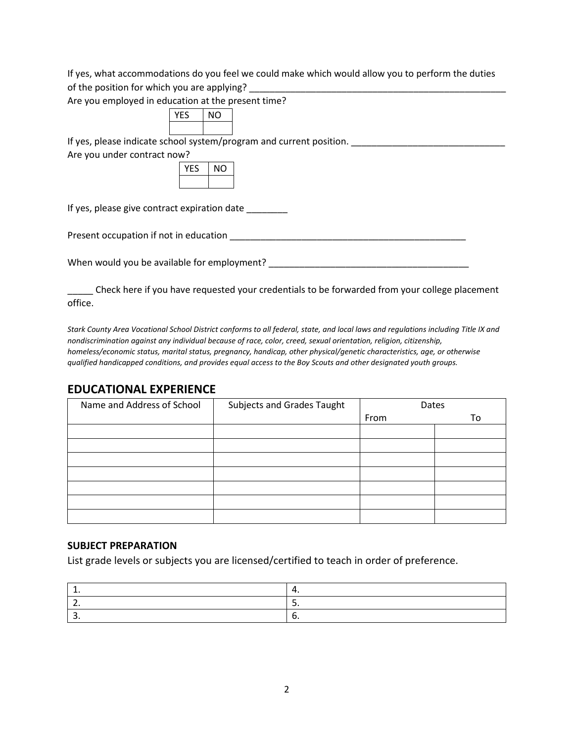If yes, what accommodations do you feel we could make which would allow you to perform the duties of the position for which you are applying?

Are you employed in education at the present time?

| FS<br>$\mathbf v$ | . . |  |
|-------------------|-----|--|
|                   |     |  |

If yes, please indicate school system/program and current position. \_\_\_\_\_\_\_\_\_\_\_\_\_\_\_\_\_\_\_\_\_\_\_\_\_\_\_\_\_\_

Are you under contract now?

If yes, please give contract expiration date

Present occupation if not in education \_\_\_\_\_\_\_\_\_\_\_\_\_\_\_\_\_\_\_\_\_\_\_\_\_\_\_\_\_\_\_\_\_\_\_\_\_\_\_\_\_\_\_\_\_\_

When would you be available for employment? \_\_\_\_\_\_\_\_\_\_\_\_\_\_\_\_\_\_\_\_\_\_\_\_\_\_\_\_\_\_\_\_\_\_\_\_\_\_\_

Check here if you have requested your credentials to be forwarded from your college placement office.

*Stark County Area Vocational School District conforms to all federal, state, and local laws and regulations including Title IX and nondiscrimination against any individual because of race, color, creed, sexual orientation, religion, citizenship, homeless/economic status, marital status, pregnancy, handicap, other physical/genetic characteristics, age, or otherwise qualified handicapped conditions, and provides equal access to the Boy Scouts and other designated youth groups.*

## **EDUCATIONAL EXPERIENCE**

| Name and Address of School | Subjects and Grades Taught | Dates |    |
|----------------------------|----------------------------|-------|----|
|                            |                            | From  | To |
|                            |                            |       |    |
|                            |                            |       |    |
|                            |                            |       |    |
|                            |                            |       |    |
|                            |                            |       |    |
|                            |                            |       |    |
|                            |                            |       |    |

### **SUBJECT PREPARATION**

List grade levels or subjects you are licensed/certified to teach in order of preference.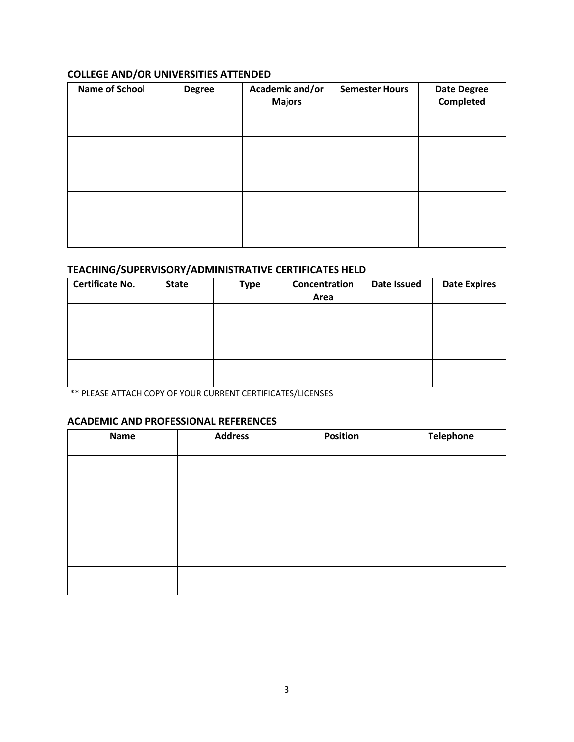## **COLLEGE AND/OR UNIVERSITIES ATTENDED**

| <b>Name of School</b> | <b>Degree</b> | Academic and/or<br><b>Majors</b> | <b>Semester Hours</b> | <b>Date Degree</b><br>Completed |
|-----------------------|---------------|----------------------------------|-----------------------|---------------------------------|
|                       |               |                                  |                       |                                 |
|                       |               |                                  |                       |                                 |
|                       |               |                                  |                       |                                 |
|                       |               |                                  |                       |                                 |
|                       |               |                                  |                       |                                 |

## **TEACHING/SUPERVISORY/ADMINISTRATIVE CERTIFICATES HELD**

| <b>Certificate No.</b> | <b>State</b> | <b>Type</b> | Concentration<br>Area | Date Issued | <b>Date Expires</b> |
|------------------------|--------------|-------------|-----------------------|-------------|---------------------|
|                        |              |             |                       |             |                     |
|                        |              |             |                       |             |                     |
|                        |              |             |                       |             |                     |

\*\* PLEASE ATTACH COPY OF YOUR CURRENT CERTIFICATES/LICENSES

### **ACADEMIC AND PROFESSIONAL REFERENCES**

| <b>Name</b> | <b>Address</b> | Position | <b>Telephone</b> |
|-------------|----------------|----------|------------------|
|             |                |          |                  |
|             |                |          |                  |
|             |                |          |                  |
|             |                |          |                  |
|             |                |          |                  |
|             |                |          |                  |
|             |                |          |                  |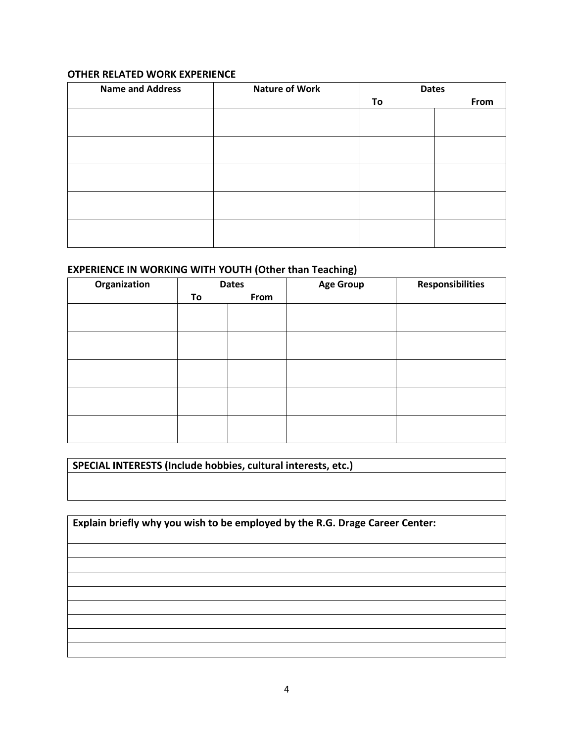## **OTHER RELATED WORK EXPERIENCE**

| <b>Name and Address</b> | <b>Nature of Work</b> | <b>Dates</b> |      |
|-------------------------|-----------------------|--------------|------|
|                         |                       | To           | From |
|                         |                       |              |      |
|                         |                       |              |      |
|                         |                       |              |      |
|                         |                       |              |      |
|                         |                       |              |      |
|                         |                       |              |      |
|                         |                       |              |      |
|                         |                       |              |      |
|                         |                       |              |      |
|                         |                       |              |      |

## **EXPERIENCE IN WORKING WITH YOUTH (Other than Teaching)**

| Organization | <b>Dates</b> |      | <b>Age Group</b> | <b>Responsibilities</b> |
|--------------|--------------|------|------------------|-------------------------|
|              | To           | From |                  |                         |
|              |              |      |                  |                         |
|              |              |      |                  |                         |
|              |              |      |                  |                         |
|              |              |      |                  |                         |
|              |              |      |                  |                         |
|              |              |      |                  |                         |
|              |              |      |                  |                         |
|              |              |      |                  |                         |
|              |              |      |                  |                         |
|              |              |      |                  |                         |

**SPECIAL INTERESTS (Include hobbies, cultural interests, etc.)**

**Explain briefly why you wish to be employed by the R.G. Drage Career Center:**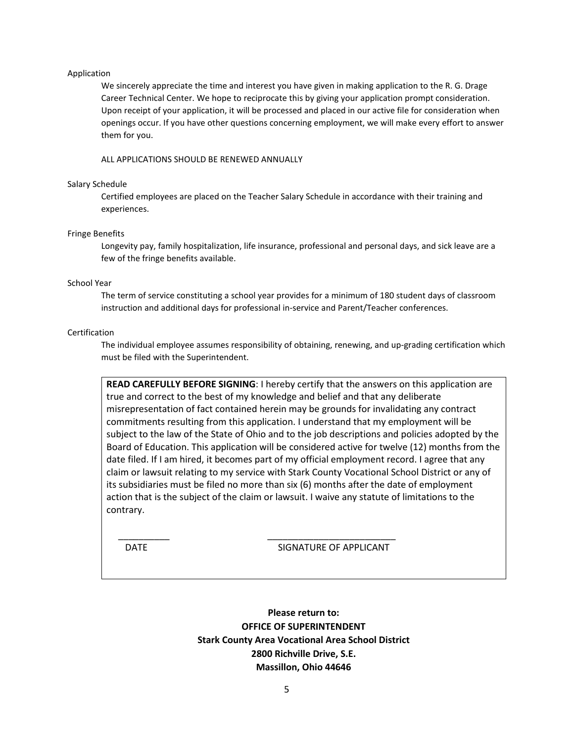#### Application

We sincerely appreciate the time and interest you have given in making application to the R. G. Drage Career Technical Center. We hope to reciprocate this by giving your application prompt consideration. Upon receipt of your application, it will be processed and placed in our active file for consideration when openings occur. If you have other questions concerning employment, we will make every effort to answer them for you.

### ALL APPLICATIONS SHOULD BE RENEWED ANNUALLY

### Salary Schedule

Certified employees are placed on the Teacher Salary Schedule in accordance with their training and experiences.

### Fringe Benefits

Longevity pay, family hospitalization, life insurance, professional and personal days, and sick leave are a few of the fringe benefits available.

#### School Year

The term of service constituting a school year provides for a minimum of 180 student days of classroom instruction and additional days for professional in-service and Parent/Teacher conferences.

### Certification

The individual employee assumes responsibility of obtaining, renewing, and up-grading certification which must be filed with the Superintendent.

**READ CAREFULLY BEFORE SIGNING**: I hereby certify that the answers on this application are true and correct to the best of my knowledge and belief and that any deliberate misrepresentation of fact contained herein may be grounds for invalidating any contract commitments resulting from this application. I understand that my employment will be subject to the law of the State of Ohio and to the job descriptions and policies adopted by the Board of Education. This application will be considered active for twelve (12) months from the date filed. If I am hired, it becomes part of my official employment record. I agree that any claim or lawsuit relating to my service with Stark County Vocational School District or any of its subsidiaries must be filed no more than six (6) months after the date of employment action that is the subject of the claim or lawsuit. I waive any statute of limitations to the contrary.

DATE SIGNATURE OF APPLICANT

**Please return to: OFFICE OF SUPERINTENDENT Stark County Area Vocational Area School District 2800 Richville Drive, S.E. Massillon, Ohio 44646**

 $\frac{1}{\sqrt{2\pi}}$  , the contract of the contract of the contract of the contract of the contract of the contract of the contract of the contract of the contract of the contract of the contract of the contract of the contract